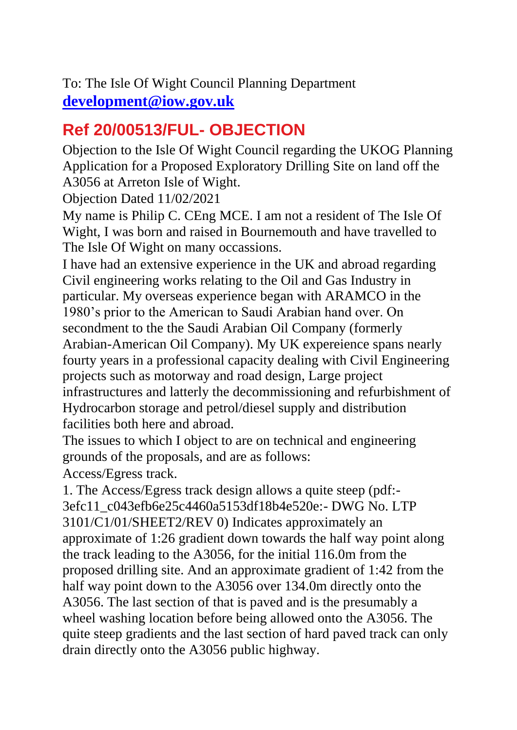To: The Isle Of Wight Council Planning Department **[development@iow.gov.uk](https://mail.google.com/mail/u/0/#search_sylvia_FMfcgxwLsSZhWVDprwFZxMcBdzNJGwhMmailto_development_iow_gov_uk_subject_Reference_2020_00513_FUL_20__20Objection)**

## **Ref 20/00513/FUL- OBJECTION**

Objection to the Isle Of Wight Council regarding the UKOG Planning Application for a Proposed Exploratory Drilling Site on land off the A3056 at Arreton Isle of Wight.

Objection Dated 11/02/2021

My name is Philip C. CEng MCE. I am not a resident of The Isle Of Wight, I was born and raised in Bournemouth and have travelled to The Isle Of Wight on many occassions.

I have had an extensive experience in the UK and abroad regarding Civil engineering works relating to the Oil and Gas Industry in particular. My overseas experience began with ARAMCO in the 1980's prior to the American to Saudi Arabian hand over. On secondment to the the Saudi Arabian Oil Company (formerly Arabian-American Oil Company). My UK expereience spans nearly fourty years in a professional capacity dealing with Civil Engineering projects such as motorway and road design, Large project infrastructures and latterly the decommissioning and refurbishment of Hydrocarbon storage and petrol/diesel supply and distribution facilities both here and abroad.

The issues to which I object to are on technical and engineering grounds of the proposals, and are as follows:

Access/Egress track.

1. The Access/Egress track design allows a quite steep (pdf:- 3efc11\_c043efb6e25c4460a5153df18b4e520e:- DWG No. LTP 3101/C1/01/SHEET2/REV 0) Indicates approximately an approximate of 1:26 gradient down towards the half way point along the track leading to the A3056, for the initial 116.0m from the proposed drilling site. And an approximate gradient of 1:42 from the half way point down to the A3056 over 134.0m directly onto the A3056. The last section of that is paved and is the presumably a wheel washing location before being allowed onto the A3056. The quite steep gradients and the last section of hard paved track can only drain directly onto the A3056 public highway.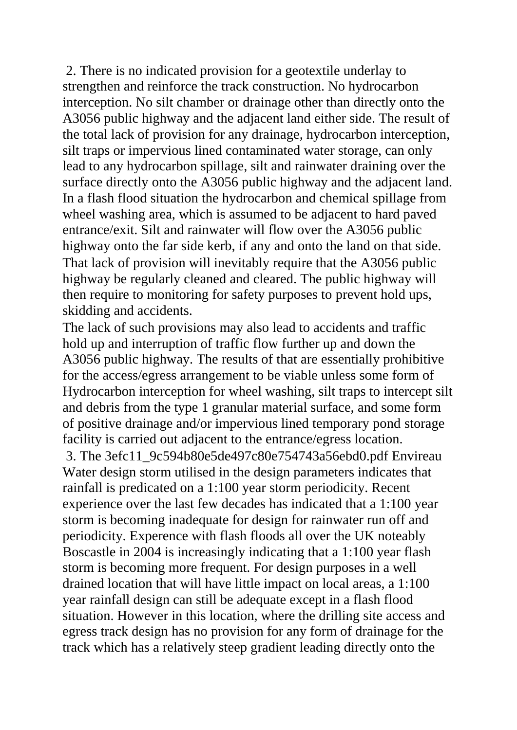2. There is no indicated provision for a geotextile underlay to strengthen and reinforce the track construction. No hydrocarbon interception. No silt chamber or drainage other than directly onto the A3056 public highway and the adjacent land either side. The result of the total lack of provision for any drainage, hydrocarbon interception, silt traps or impervious lined contaminated water storage, can only lead to any hydrocarbon spillage, silt and rainwater draining over the surface directly onto the A3056 public highway and the adjacent land. In a flash flood situation the hydrocarbon and chemical spillage from wheel washing area, which is assumed to be adjacent to hard paved entrance/exit. Silt and rainwater will flow over the A3056 public highway onto the far side kerb, if any and onto the land on that side. That lack of provision will inevitably require that the A3056 public highway be regularly cleaned and cleared. The public highway will then require to monitoring for safety purposes to prevent hold ups, skidding and accidents.

The lack of such provisions may also lead to accidents and traffic hold up and interruption of traffic flow further up and down the A3056 public highway. The results of that are essentially prohibitive for the access/egress arrangement to be viable unless some form of Hydrocarbon interception for wheel washing, silt traps to intercept silt and debris from the type 1 granular material surface, and some form of positive drainage and/or impervious lined temporary pond storage facility is carried out adjacent to the entrance/egress location. 3. The 3efc11\_9c594b80e5de497c80e754743a56ebd0.pdf Envireau Water design storm utilised in the design parameters indicates that rainfall is predicated on a 1:100 year storm periodicity. Recent experience over the last few decades has indicated that a 1:100 year storm is becoming inadequate for design for rainwater run off and periodicity. Experence with flash floods all over the UK noteably Boscastle in 2004 is increasingly indicating that a 1:100 year flash storm is becoming more frequent. For design purposes in a well drained location that will have little impact on local areas, a 1:100 year rainfall design can still be adequate except in a flash flood situation. However in this location, where the drilling site access and egress track design has no provision for any form of drainage for the track which has a relatively steep gradient leading directly onto the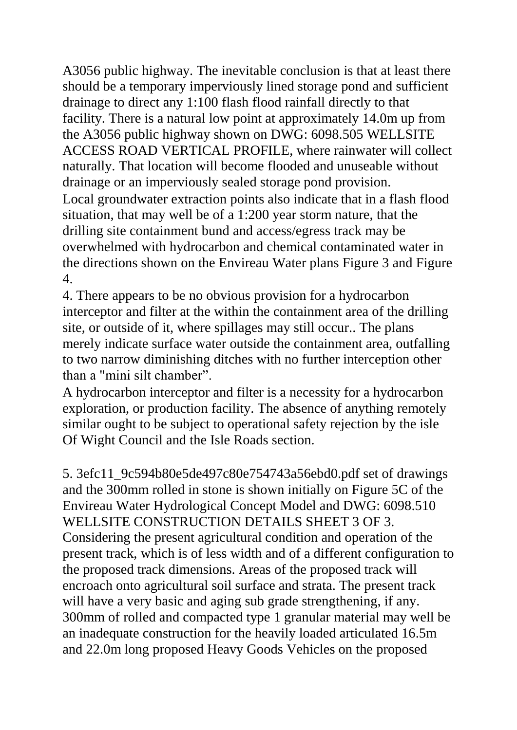A3056 public highway. The inevitable conclusion is that at least there should be a temporary imperviously lined storage pond and sufficient drainage to direct any 1:100 flash flood rainfall directly to that facility. There is a natural low point at approximately 14.0m up from the A3056 public highway shown on DWG: 6098.505 WELLSITE ACCESS ROAD VERTICAL PROFILE, where rainwater will collect naturally. That location will become flooded and unuseable without drainage or an imperviously sealed storage pond provision. Local groundwater extraction points also indicate that in a flash flood situation, that may well be of a 1:200 year storm nature, that the drilling site containment bund and access/egress track may be overwhelmed with hydrocarbon and chemical contaminated water in the directions shown on the Envireau Water plans Figure 3 and Figure 4.

4. There appears to be no obvious provision for a hydrocarbon interceptor and filter at the within the containment area of the drilling site, or outside of it, where spillages may still occur.. The plans merely indicate surface water outside the containment area, outfalling to two narrow diminishing ditches with no further interception other than a "mini silt chamber".

A hydrocarbon interceptor and filter is a necessity for a hydrocarbon exploration, or production facility. The absence of anything remotely similar ought to be subject to operational safety rejection by the isle Of Wight Council and the Isle Roads section.

5. 3efc11\_9c594b80e5de497c80e754743a56ebd0.pdf set of drawings and the 300mm rolled in stone is shown initially on Figure 5C of the Envireau Water Hydrological Concept Model and DWG: 6098.510 WELLSITE CONSTRUCTION DETAILS SHEET 3 OF 3. Considering the present agricultural condition and operation of the present track, which is of less width and of a different configuration to the proposed track dimensions. Areas of the proposed track will encroach onto agricultural soil surface and strata. The present track will have a very basic and aging sub grade strengthening, if any. 300mm of rolled and compacted type 1 granular material may well be an inadequate construction for the heavily loaded articulated 16.5m and 22.0m long proposed Heavy Goods Vehicles on the proposed